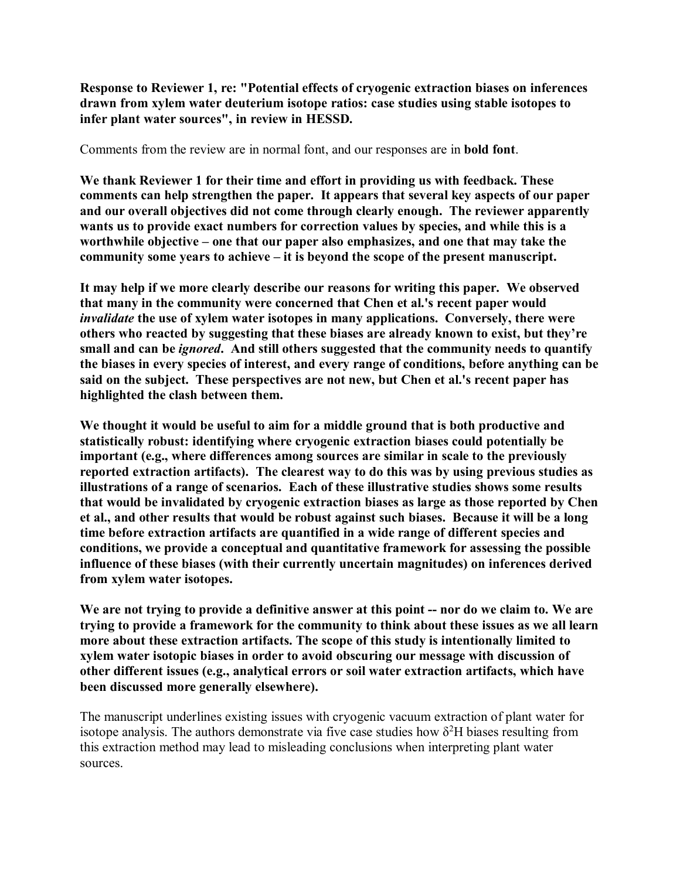**Response to Reviewer 1, re: "Potential effects of cryogenic extraction biases on inferences drawn from xylem water deuterium isotope ratios: case studies using stable isotopes to infer plant water sources", in review in HESSD.**

Comments from the review are in normal font, and our responses are in **bold font**.

**We thank Reviewer 1 for their time and effort in providing us with feedback. These comments can help strengthen the paper. It appears that several key aspects of our paper and our overall objectives did not come through clearly enough. The reviewer apparently wants us to provide exact numbers for correction values by species, and while this is a worthwhile objective – one that our paper also emphasizes, and one that may take the community some years to achieve – it is beyond the scope of the present manuscript.**

**It may help if we more clearly describe our reasons for writing this paper. We observed that many in the community were concerned that Chen et al.'s recent paper would**  *invalidate* **the use of xylem water isotopes in many applications. Conversely, there were others who reacted by suggesting that these biases are already known to exist, but they're small and can be** *ignored***. And still others suggested that the community needs to quantify the biases in every species of interest, and every range of conditions, before anything can be said on the subject. These perspectives are not new, but Chen et al.'s recent paper has highlighted the clash between them.**

**We thought it would be useful to aim for a middle ground that is both productive and statistically robust: identifying where cryogenic extraction biases could potentially be important (e.g., where differences among sources are similar in scale to the previously reported extraction artifacts). The clearest way to do this was by using previous studies as illustrations of a range of scenarios. Each of these illustrative studies shows some results that would be invalidated by cryogenic extraction biases as large as those reported by Chen et al., and other results that would be robust against such biases. Because it will be a long time before extraction artifacts are quantified in a wide range of different species and conditions, we provide a conceptual and quantitative framework for assessing the possible influence of these biases (with their currently uncertain magnitudes) on inferences derived from xylem water isotopes.**

**We are not trying to provide a definitive answer at this point -- nor do we claim to. We are trying to provide a framework for the community to think about these issues as we all learn more about these extraction artifacts. The scope of this study is intentionally limited to xylem water isotopic biases in order to avoid obscuring our message with discussion of other different issues (e.g., analytical errors or soil water extraction artifacts, which have been discussed more generally elsewhere).**

The manuscript underlines existing issues with cryogenic vacuum extraction of plant water for isotope analysis. The authors demonstrate via five case studies how  $\delta^2 H$  biases resulting from this extraction method may lead to misleading conclusions when interpreting plant water sources.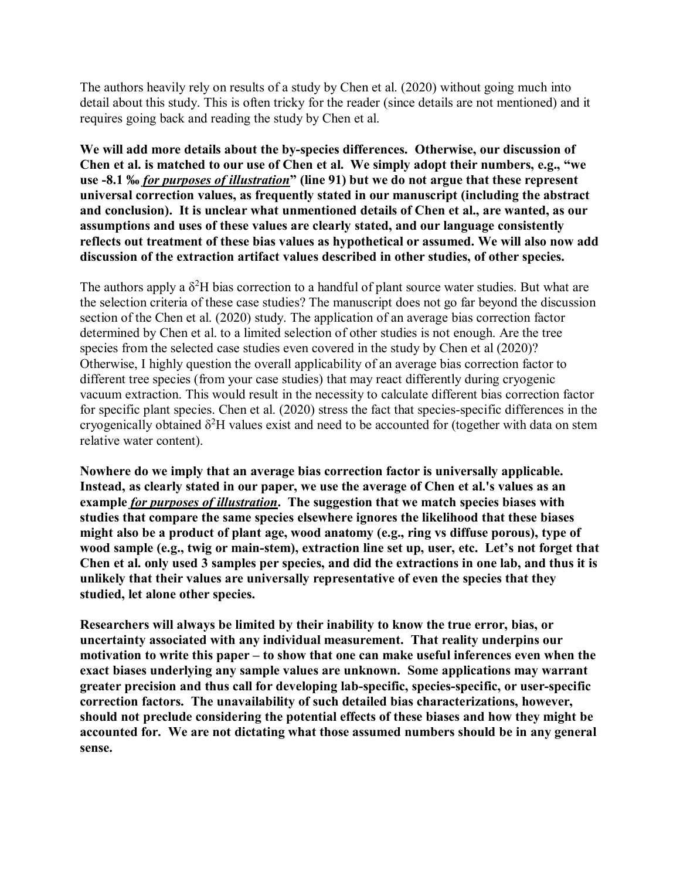The authors heavily rely on results of a study by Chen et al. (2020) without going much into detail about this study. This is often tricky for the reader (since details are not mentioned) and it requires going back and reading the study by Chen et al.

**We will add more details about the by-species differences. Otherwise, our discussion of Chen et al. is matched to our use of Chen et al. We simply adopt their numbers, e.g., "we use -8.1 ‰** *for purposes of illustration***" (line 91) but we do not argue that these represent universal correction values, as frequently stated in our manuscript (including the abstract and conclusion). It is unclear what unmentioned details of Chen et al., are wanted, as our assumptions and uses of these values are clearly stated, and our language consistently reflects out treatment of these bias values as hypothetical or assumed. We will also now add discussion of the extraction artifact values described in other studies, of other species.**

The authors apply a  $\delta^2$ H bias correction to a handful of plant source water studies. But what are the selection criteria of these case studies? The manuscript does not go far beyond the discussion section of the Chen et al. (2020) study. The application of an average bias correction factor determined by Chen et al. to a limited selection of other studies is not enough. Are the tree species from the selected case studies even covered in the study by Chen et al (2020)? Otherwise, I highly question the overall applicability of an average bias correction factor to different tree species (from your case studies) that may react differently during cryogenic vacuum extraction. This would result in the necessity to calculate different bias correction factor for specific plant species. Chen et al. (2020) stress the fact that species-specific differences in the cryogenically obtained  $\delta^2$ H values exist and need to be accounted for (together with data on stem relative water content).

**Nowhere do we imply that an average bias correction factor is universally applicable. Instead, as clearly stated in our paper, we use the average of Chen et al.'s values as an example** *for purposes of illustration***. The suggestion that we match species biases with studies that compare the same species elsewhere ignores the likelihood that these biases might also be a product of plant age, wood anatomy (e.g., ring vs diffuse porous), type of wood sample (e.g., twig or main-stem), extraction line set up, user, etc. Let's not forget that Chen et al. only used 3 samples per species, and did the extractions in one lab, and thus it is unlikely that their values are universally representative of even the species that they studied, let alone other species.** 

**Researchers will always be limited by their inability to know the true error, bias, or uncertainty associated with any individual measurement. That reality underpins our motivation to write this paper – to show that one can make useful inferences even when the exact biases underlying any sample values are unknown. Some applications may warrant greater precision and thus call for developing lab-specific, species-specific, or user-specific correction factors. The unavailability of such detailed bias characterizations, however, should not preclude considering the potential effects of these biases and how they might be accounted for. We are not dictating what those assumed numbers should be in any general sense.**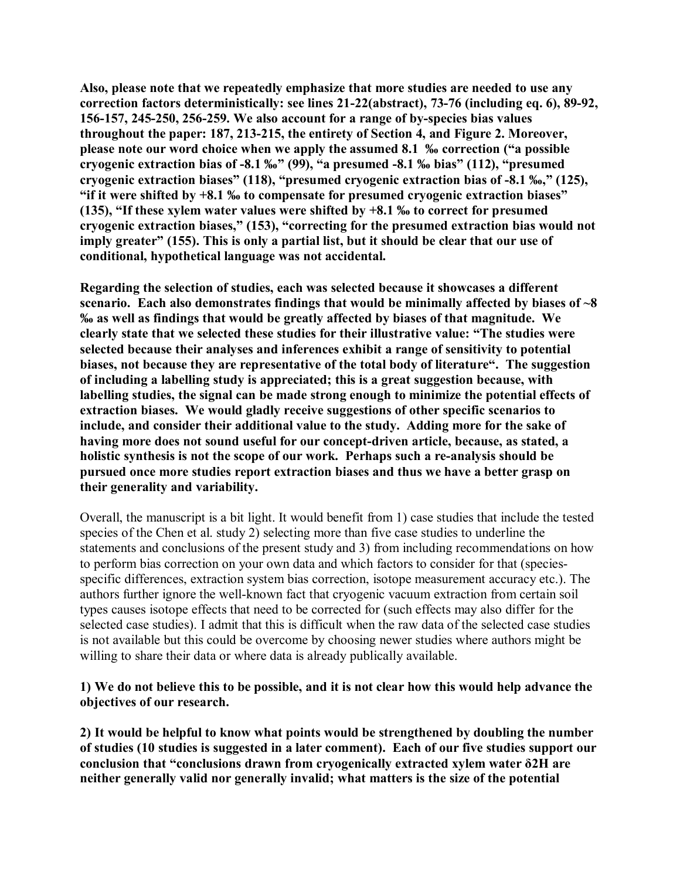**Also, please note that we repeatedly emphasize that more studies are needed to use any correction factors deterministically: see lines 21-22(abstract), 73-76 (including eq. 6), 89-92, 156-157, 245-250, 256-259. We also account for a range of by-species bias values throughout the paper: 187, 213-215, the entirety of Section 4, and Figure 2. Moreover, please note our word choice when we apply the assumed 8.1 ‰ correction ("a possible cryogenic extraction bias of -8.1 ‰" (99), "a presumed -8.1 ‰ bias" (112), "presumed cryogenic extraction biases" (118), "presumed cryogenic extraction bias of -8.1 ‰," (125), "if it were shifted by +8.1 ‰ to compensate for presumed cryogenic extraction biases" (135), "If these xylem water values were shifted by +8.1 ‰ to correct for presumed cryogenic extraction biases," (153), "correcting for the presumed extraction bias would not imply greater" (155). This is only a partial list, but it should be clear that our use of conditional, hypothetical language was not accidental.** 

**Regarding the selection of studies, each was selected because it showcases a different scenario. Each also demonstrates findings that would be minimally affected by biases of ~8 ‰ as well as findings that would be greatly affected by biases of that magnitude. We clearly state that we selected these studies for their illustrative value: "The studies were selected because their analyses and inferences exhibit a range of sensitivity to potential biases, not because they are representative of the total body of literature". The suggestion of including a labelling study is appreciated; this is a great suggestion because, with labelling studies, the signal can be made strong enough to minimize the potential effects of extraction biases. We would gladly receive suggestions of other specific scenarios to include, and consider their additional value to the study. Adding more for the sake of having more does not sound useful for our concept-driven article, because, as stated, a holistic synthesis is not the scope of our work. Perhaps such a re-analysis should be pursued once more studies report extraction biases and thus we have a better grasp on their generality and variability.** 

Overall, the manuscript is a bit light. It would benefit from 1) case studies that include the tested species of the Chen et al. study 2) selecting more than five case studies to underline the statements and conclusions of the present study and 3) from including recommendations on how to perform bias correction on your own data and which factors to consider for that (speciesspecific differences, extraction system bias correction, isotope measurement accuracy etc.). The authors further ignore the well-known fact that cryogenic vacuum extraction from certain soil types causes isotope effects that need to be corrected for (such effects may also differ for the selected case studies). I admit that this is difficult when the raw data of the selected case studies is not available but this could be overcome by choosing newer studies where authors might be willing to share their data or where data is already publically available.

## **1) We do not believe this to be possible, and it is not clear how this would help advance the objectives of our research.**

**2) It would be helpful to know what points would be strengthened by doubling the number of studies (10 studies is suggested in a later comment). Each of our five studies support our conclusion that "conclusions drawn from cryogenically extracted xylem water δ2H are neither generally valid nor generally invalid; what matters is the size of the potential**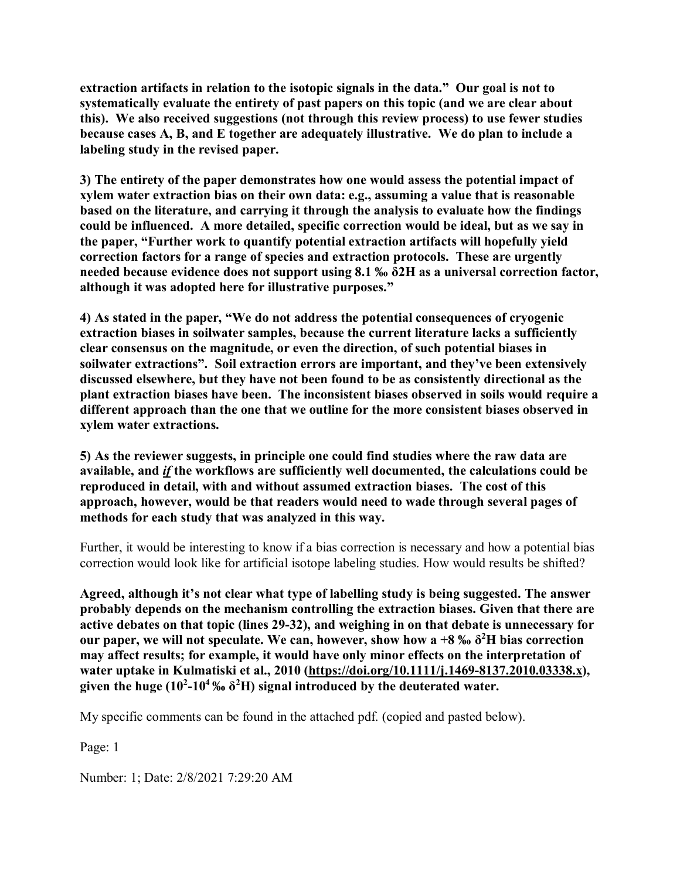**extraction artifacts in relation to the isotopic signals in the data." Our goal is not to systematically evaluate the entirety of past papers on this topic (and we are clear about this). We also received suggestions (not through this review process) to use fewer studies because cases A, B, and E together are adequately illustrative. We do plan to include a labeling study in the revised paper.**

**3) The entirety of the paper demonstrates how one would assess the potential impact of xylem water extraction bias on their own data: e.g., assuming a value that is reasonable based on the literature, and carrying it through the analysis to evaluate how the findings could be influenced. A more detailed, specific correction would be ideal, but as we say in the paper, "Further work to quantify potential extraction artifacts will hopefully yield correction factors for a range of species and extraction protocols. These are urgently needed because evidence does not support using 8.1 ‰ δ2H as a universal correction factor, although it was adopted here for illustrative purposes."**

**4) As stated in the paper, "We do not address the potential consequences of cryogenic extraction biases in soilwater samples, because the current literature lacks a sufficiently clear consensus on the magnitude, or even the direction, of such potential biases in soilwater extractions". Soil extraction errors are important, and they've been extensively discussed elsewhere, but they have not been found to be as consistently directional as the plant extraction biases have been. The inconsistent biases observed in soils would require a different approach than the one that we outline for the more consistent biases observed in xylem water extractions.**

**5) As the reviewer suggests, in principle one could find studies where the raw data are available, and** *if* **the workflows are sufficiently well documented, the calculations could be reproduced in detail, with and without assumed extraction biases. The cost of this approach, however, would be that readers would need to wade through several pages of methods for each study that was analyzed in this way.**

Further, it would be interesting to know if a bias correction is necessary and how a potential bias correction would look like for artificial isotope labeling studies. How would results be shifted?

**Agreed, although it's not clear what type of labelling study is being suggested. The answer probably depends on the mechanism controlling the extraction biases. Given that there are active debates on that topic (lines 29-32), and weighing in on that debate is unnecessary for our paper, we will not speculate. We can, however, show how a +8 ‰ δ<sup>2</sup> H bias correction may affect results; for example, it would have only minor effects on the interpretation of water uptake in Kulmatiski et al., 2010 [\(https://doi.org/10.1111/j.1469-8137.2010.03338.x\)](https://doi.org/10.1111/j.1469-8137.2010.03338.x),**  given the huge ( $10^2$ - $10^4$  ‰  $\delta^2$ H) signal introduced by the deuterated water.

My specific comments can be found in the attached pdf. (copied and pasted below).

Page: 1

Number: 1; Date: 2/8/2021 7:29:20 AM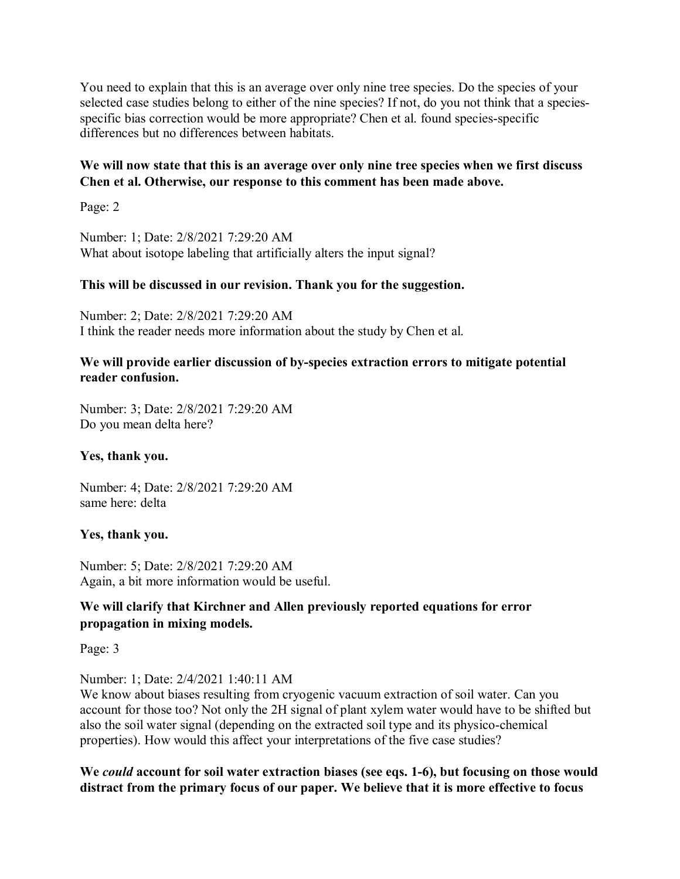You need to explain that this is an average over only nine tree species. Do the species of your selected case studies belong to either of the nine species? If not, do you not think that a speciesspecific bias correction would be more appropriate? Chen et al. found species-specific differences but no differences between habitats.

# **We will now state that this is an average over only nine tree species when we first discuss Chen et al. Otherwise, our response to this comment has been made above.**

Page: 2

Number: 1; Date: 2/8/2021 7:29:20 AM What about isotope labeling that artificially alters the input signal?

### **This will be discussed in our revision. Thank you for the suggestion.**

Number: 2; Date: 2/8/2021 7:29:20 AM I think the reader needs more information about the study by Chen et al.

### **We will provide earlier discussion of by-species extraction errors to mitigate potential reader confusion.**

Number: 3; Date: 2/8/2021 7:29:20 AM Do you mean delta here?

## **Yes, thank you.**

Number: 4; Date: 2/8/2021 7:29:20 AM same here: delta

#### **Yes, thank you.**

Number: 5; Date: 2/8/2021 7:29:20 AM Again, a bit more information would be useful.

## **We will clarify that Kirchner and Allen previously reported equations for error propagation in mixing models.**

Page: 3

## Number: 1; Date: 2/4/2021 1:40:11 AM

We know about biases resulting from cryogenic vacuum extraction of soil water. Can you account for those too? Not only the 2H signal of plant xylem water would have to be shifted but also the soil water signal (depending on the extracted soil type and its physico-chemical properties). How would this affect your interpretations of the five case studies?

### **We** *could* **account for soil water extraction biases (see eqs. 1-6), but focusing on those would distract from the primary focus of our paper. We believe that it is more effective to focus**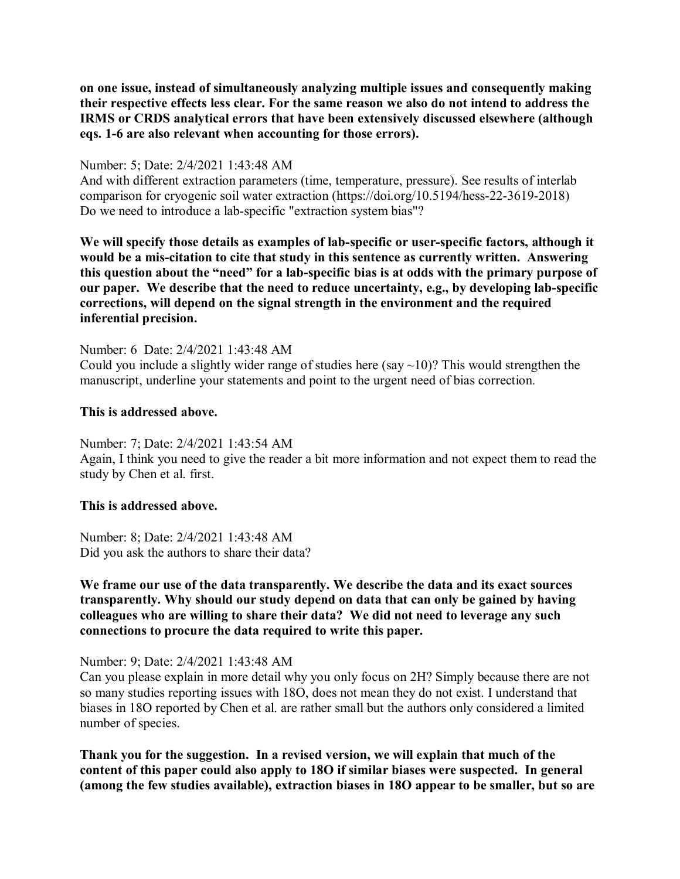**on one issue, instead of simultaneously analyzing multiple issues and consequently making their respective effects less clear. For the same reason we also do not intend to address the IRMS or CRDS analytical errors that have been extensively discussed elsewhere (although eqs. 1-6 are also relevant when accounting for those errors).** 

#### Number: 5; Date: 2/4/2021 1:43:48 AM

And with different extraction parameters (time, temperature, pressure). See results of interlab comparison for cryogenic soil water extraction (https://doi.org/10.5194/hess-22-3619-2018) Do we need to introduce a lab-specific "extraction system bias"?

**We will specify those details as examples of lab-specific or user-specific factors, although it would be a mis-citation to cite that study in this sentence as currently written. Answering this question about the "need" for a lab-specific bias is at odds with the primary purpose of our paper. We describe that the need to reduce uncertainty, e.g., by developing lab-specific corrections, will depend on the signal strength in the environment and the required inferential precision.** 

Number: 6 Date: 2/4/2021 1:43:48 AM

Could you include a slightly wider range of studies here  $(say \sim 10)$ ? This would strengthen the manuscript, underline your statements and point to the urgent need of bias correction.

### **This is addressed above.**

Number: 7; Date: 2/4/2021 1:43:54 AM

Again, I think you need to give the reader a bit more information and not expect them to read the study by Chen et al. first.

## **This is addressed above.**

Number: 8; Date: 2/4/2021 1:43:48 AM Did you ask the authors to share their data?

**We frame our use of the data transparently. We describe the data and its exact sources transparently. Why should our study depend on data that can only be gained by having colleagues who are willing to share their data? We did not need to leverage any such connections to procure the data required to write this paper.** 

#### Number: 9; Date: 2/4/2021 1:43:48 AM

Can you please explain in more detail why you only focus on 2H? Simply because there are not so many studies reporting issues with 18O, does not mean they do not exist. I understand that biases in 18O reported by Chen et al. are rather small but the authors only considered a limited number of species.

**Thank you for the suggestion. In a revised version, we will explain that much of the content of this paper could also apply to 18O if similar biases were suspected. In general (among the few studies available), extraction biases in 18O appear to be smaller, but so are**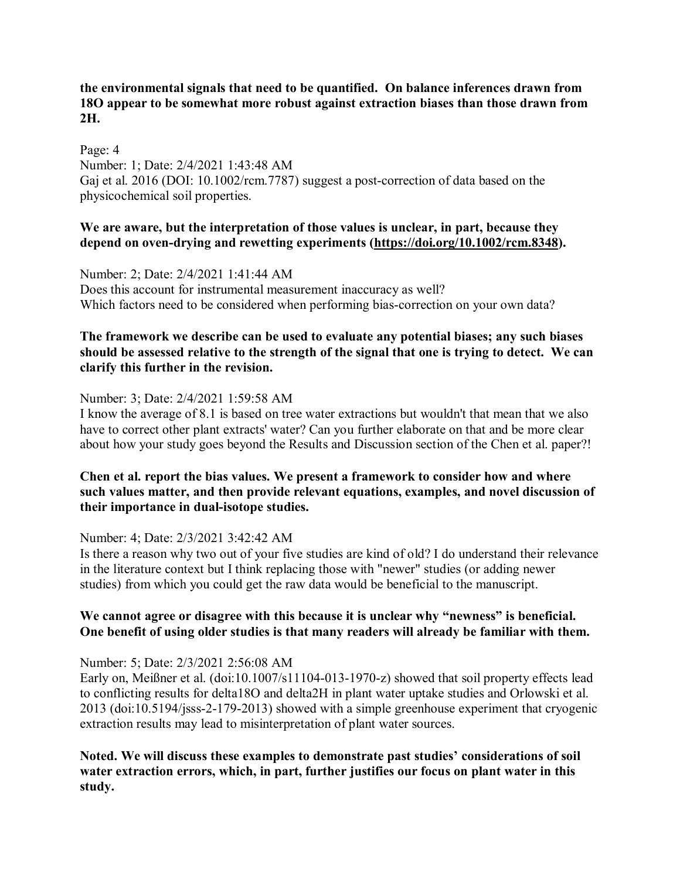**the environmental signals that need to be quantified. On balance inferences drawn from 18O appear to be somewhat more robust against extraction biases than those drawn from 2H.** 

Page: 4 Number: 1; Date: 2/4/2021 1:43:48 AM Gaj et al. 2016 (DOI: 10.1002/rcm.7787) suggest a post-correction of data based on the physicochemical soil properties.

### **We are aware, but the interpretation of those values is unclear, in part, because they depend on oven-drying and rewetting experiments [\(https://doi.org/10.1002/rcm.8348\)](https://doi.org/10.1002/rcm.8348).**

Number: 2; Date: 2/4/2021 1:41:44 AM Does this account for instrumental measurement inaccuracy as well? Which factors need to be considered when performing bias-correction on your own data?

### **The framework we describe can be used to evaluate any potential biases; any such biases should be assessed relative to the strength of the signal that one is trying to detect. We can clarify this further in the revision.**

Number: 3; Date: 2/4/2021 1:59:58 AM

I know the average of 8.1 is based on tree water extractions but wouldn't that mean that we also have to correct other plant extracts' water? Can you further elaborate on that and be more clear about how your study goes beyond the Results and Discussion section of the Chen et al. paper?!

### **Chen et al. report the bias values. We present a framework to consider how and where such values matter, and then provide relevant equations, examples, and novel discussion of their importance in dual-isotope studies.**

Number: 4; Date: 2/3/2021 3:42:42 AM

Is there a reason why two out of your five studies are kind of old? I do understand their relevance in the literature context but I think replacing those with "newer" studies (or adding newer studies) from which you could get the raw data would be beneficial to the manuscript.

## **We cannot agree or disagree with this because it is unclear why "newness" is beneficial. One benefit of using older studies is that many readers will already be familiar with them.**

#### Number: 5; Date: 2/3/2021 2:56:08 AM

Early on, Meißner et al. (doi:10.1007/s11104-013-1970-z) showed that soil property effects lead to conflicting results for delta18O and delta2H in plant water uptake studies and Orlowski et al. 2013 (doi:10.5194/jsss-2-179-2013) showed with a simple greenhouse experiment that cryogenic extraction results may lead to misinterpretation of plant water sources.

**Noted. We will discuss these examples to demonstrate past studies' considerations of soil water extraction errors, which, in part, further justifies our focus on plant water in this study.**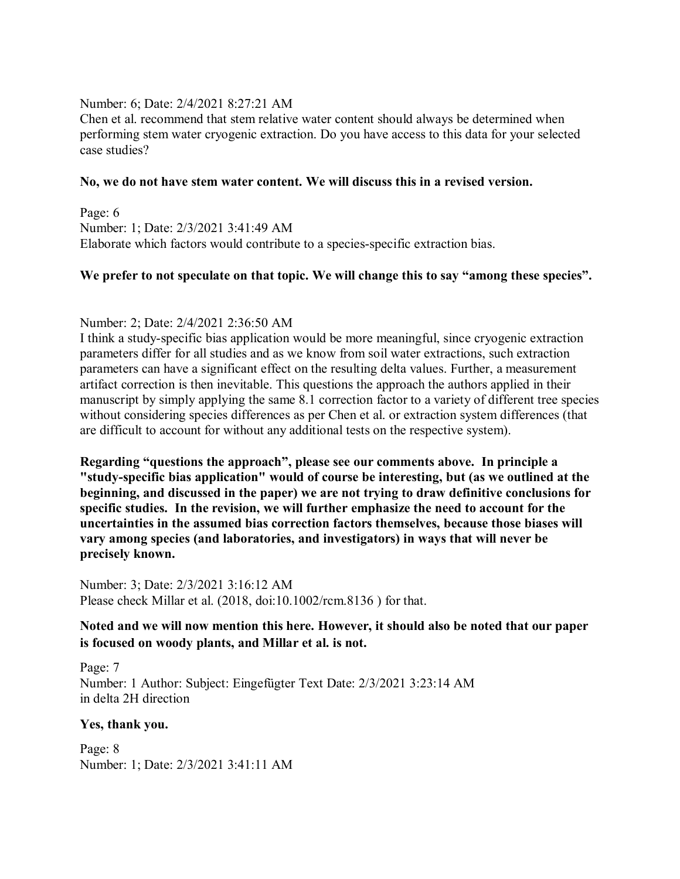#### Number: 6; Date: 2/4/2021 8:27:21 AM

Chen et al. recommend that stem relative water content should always be determined when performing stem water cryogenic extraction. Do you have access to this data for your selected case studies?

#### **No, we do not have stem water content. We will discuss this in a revised version.**

Page: 6 Number: 1; Date: 2/3/2021 3:41:49 AM Elaborate which factors would contribute to a species-specific extraction bias.

### We prefer to not speculate on that topic. We will change this to say "among these species".

#### Number: 2; Date: 2/4/2021 2:36:50 AM

I think a study-specific bias application would be more meaningful, since cryogenic extraction parameters differ for all studies and as we know from soil water extractions, such extraction parameters can have a significant effect on the resulting delta values. Further, a measurement artifact correction is then inevitable. This questions the approach the authors applied in their manuscript by simply applying the same 8.1 correction factor to a variety of different tree species without considering species differences as per Chen et al. or extraction system differences (that are difficult to account for without any additional tests on the respective system).

**Regarding "questions the approach", please see our comments above. In principle a "study-specific bias application" would of course be interesting, but (as we outlined at the beginning, and discussed in the paper) we are not trying to draw definitive conclusions for specific studies. In the revision, we will further emphasize the need to account for the uncertainties in the assumed bias correction factors themselves, because those biases will vary among species (and laboratories, and investigators) in ways that will never be precisely known.**

Number: 3; Date: 2/3/2021 3:16:12 AM Please check Millar et al. (2018, doi:10.1002/rcm.8136 ) for that.

## **Noted and we will now mention this here. However, it should also be noted that our paper is focused on woody plants, and Millar et al. is not.**

Page: 7 Number: 1 Author: Subject: Eingefügter Text Date: 2/3/2021 3:23:14 AM in delta 2H direction

**Yes, thank you.** 

Page: 8 Number: 1; Date: 2/3/2021 3:41:11 AM